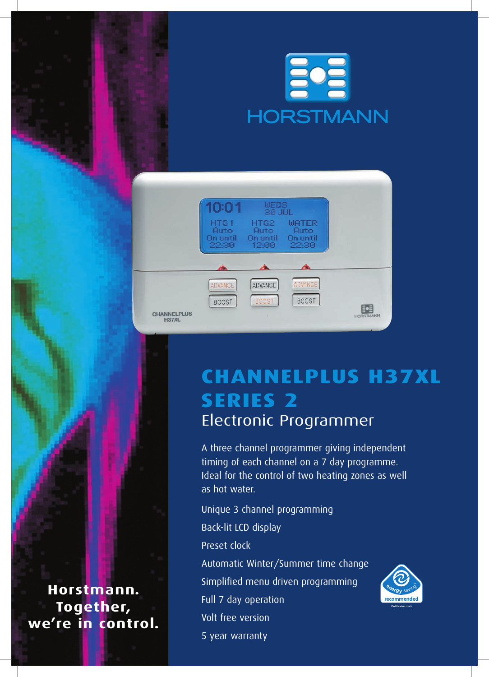



# **ChannelPlus H37XL SERIES 2** Electronic Programmer

A three channel programmer giving independent timing of each channel on a 7 day programme. Ideal for the control of two heating zones as well as hot water.

Unique 3 channel programming Back-lit LCD display Preset clock Automatic Winter/Summer time change Simplified menu driven programming Full 7 day operation Volt free version

5 year warranty



**Horstmann. Together, we're in control.**